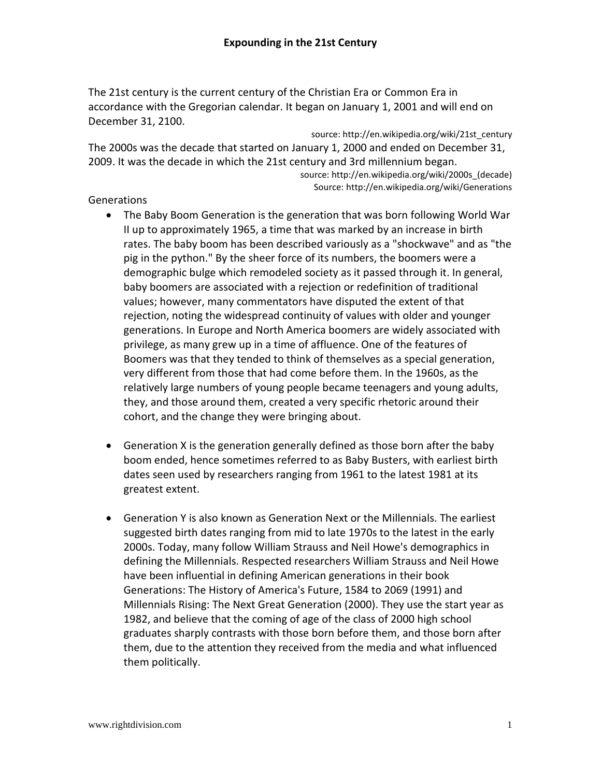The 21st century is the current century of the Christian Era or Common Era in accordance with the Gregorian calendar. It began on January 1, 2001 and will end on December 31, 2100.

source: http://en.wikipedia.org/wiki/21st\_century The 2000s was the decade that started on January 1, 2000 and ended on December 31, 2009. It was the decade in which the 21st century and 3rd millennium began. source: http://en.wikipedia.org/wiki/2000s\_(decade)

Source: http://en.wikipedia.org/wiki/Generations

# **Generations**

- The Baby Boom Generation is the generation that was born following World War II up to approximately 1965, a time that was marked by an increase in birth rates. The baby boom has been described variously as a "shockwave" and as "the pig in the python." By the sheer force of its numbers, the boomers were a demographic bulge which remodeled society as it passed through it. In general, baby boomers are associated with a rejection or redefinition of traditional values; however, many commentators have disputed the extent of that rejection, noting the widespread continuity of values with older and younger generations. In Europe and North America boomers are widely associated with privilege, as many grew up in a time of affluence. One of the features of Boomers was that they tended to think of themselves as a special generation, very different from those that had come before them. In the 1960s, as the relatively large numbers of young people became teenagers and young adults, they, and those around them, created a very specific rhetoric around their cohort, and the change they were bringing about.
- Generation X is the generation generally defined as those born after the baby boom ended, hence sometimes referred to as Baby Busters, with earliest birth dates seen used by researchers ranging from 1961 to the latest 1981 at its greatest extent.
- Generation Y is also known as Generation Next or the Millennials. The earliest suggested birth dates ranging from mid to late 1970s to the latest in the early 2000s. Today, many follow William Strauss and Neil Howe's demographics in defining the Millennials. Respected researchers William Strauss and Neil Howe have been influential in defining American generations in their book Generations: The History of America's Future, 1584 to 2069 (1991) and Millennials Rising: The Next Great Generation (2000). They use the start year as 1982, and believe that the coming of age of the class of 2000 high school graduates sharply contrasts with those born before them, and those born after them, due to the attention they received from the media and what influenced them politically.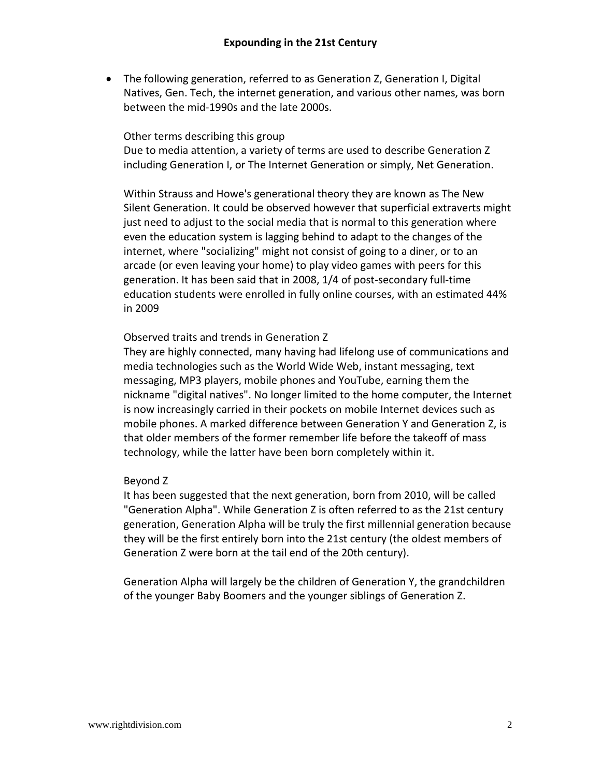• The following generation, referred to as Generation Z, Generation I, Digital Natives, Gen. Tech, the internet generation, and various other names, was born between the mid-1990s and the late 2000s.

#### Other terms describing this group

Due to media attention, a variety of terms are used to describe Generation Z including Generation I, or The Internet Generation or simply, Net Generation.

Within Strauss and Howe's generational theory they are known as The New Silent Generation. It could be observed however that superficial extraverts might just need to adjust to the social media that is normal to this generation where even the education system is lagging behind to adapt to the changes of the internet, where "socializing" might not consist of going to a diner, or to an arcade (or even leaving your home) to play video games with peers for this generation. It has been said that in 2008, 1/4 of post-secondary full-time education students were enrolled in fully online courses, with an estimated 44% in 2009

## Observed traits and trends in Generation Z

They are highly connected, many having had lifelong use of communications and media technologies such as the World Wide Web, instant messaging, text messaging, MP3 players, mobile phones and YouTube, earning them the nickname "digital natives". No longer limited to the home computer, the Internet is now increasingly carried in their pockets on mobile Internet devices such as mobile phones. A marked difference between Generation Y and Generation Z, is that older members of the former remember life before the takeoff of mass technology, while the latter have been born completely within it.

#### Beyond Z

It has been suggested that the next generation, born from 2010, will be called "Generation Alpha". While Generation Z is often referred to as the 21st century generation, Generation Alpha will be truly the first millennial generation because they will be the first entirely born into the 21st century (the oldest members of Generation Z were born at the tail end of the 20th century).

Generation Alpha will largely be the children of Generation Y, the grandchildren of the younger Baby Boomers and the younger siblings of Generation Z.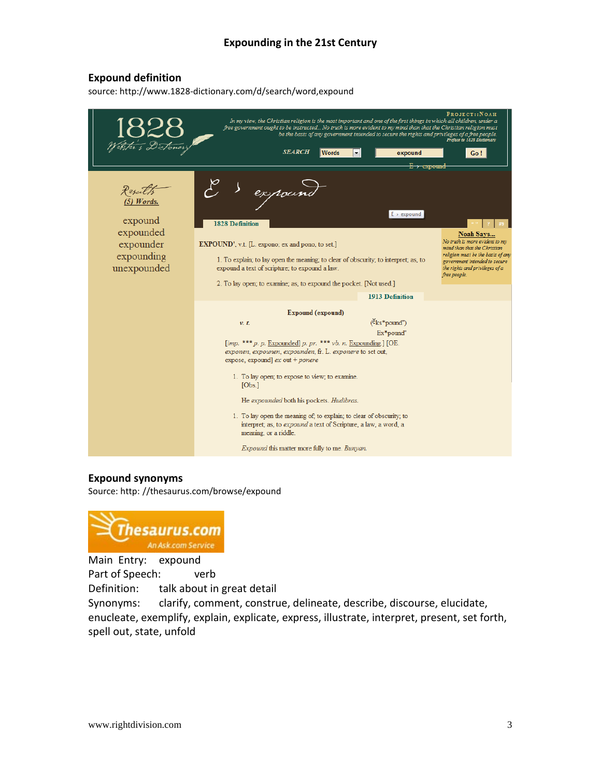# **Expounding in the 21st Century**

#### **Expound definition**

source: http://www.1828-dictionary.com/d/search/word,expound



#### **Expound synonyms**

Source: http: //thesaurus.com/browse/expound



Main Entry: expound Part of Speech: verb Definition: talk about in great detail

Synonyms: clarify, comment, construe, delineate, describe, discourse, elucidate, enucleate, exemplify, explain, explicate, express, illustrate, interpret, present, set forth, spell out, state, unfold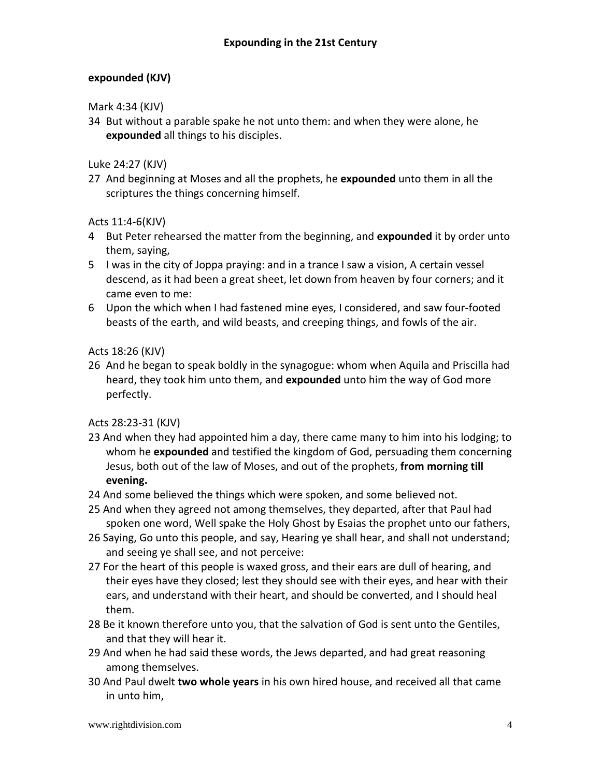# **expounded (KJV)**

Mark 4:34 (KJV)

34 But without a parable spake he not unto them: and when they were alone, he **expounded** all things to his disciples.

Luke 24:27 (KJV)

27 And beginning at Moses and all the prophets, he **expounded** unto them in all the scriptures the things concerning himself.

Acts 11:4-6(KJV)

- 4 But Peter rehearsed the matter from the beginning, and **expounded** it by order unto them, saying,
- 5 I was in the city of Joppa praying: and in a trance I saw a vision, A certain vessel descend, as it had been a great sheet, let down from heaven by four corners; and it came even to me:
- 6 Upon the which when I had fastened mine eyes, I considered, and saw four-footed beasts of the earth, and wild beasts, and creeping things, and fowls of the air.

Acts 18:26 (KJV)

26 And he began to speak boldly in the synagogue: whom when Aquila and Priscilla had heard, they took him unto them, and **expounded** unto him the way of God more perfectly.

Acts 28:23-31 (KJV)

- 23 And when they had appointed him a day, there came many to him into his lodging; to whom he **expounded** and testified the kingdom of God, persuading them concerning Jesus, both out of the law of Moses, and out of the prophets, **from morning till evening.**
- 24 And some believed the things which were spoken, and some believed not.
- 25 And when they agreed not among themselves, they departed, after that Paul had spoken one word, Well spake the Holy Ghost by Esaias the prophet unto our fathers,
- 26 Saying, Go unto this people, and say, Hearing ye shall hear, and shall not understand; and seeing ye shall see, and not perceive:
- 27 For the heart of this people is waxed gross, and their ears are dull of hearing, and their eyes have they closed; lest they should see with their eyes, and hear with their ears, and understand with their heart, and should be converted, and I should heal them.
- 28 Be it known therefore unto you, that the salvation of God is sent unto the Gentiles, and that they will hear it.
- 29 And when he had said these words, the Jews departed, and had great reasoning among themselves.
- 30 And Paul dwelt **two whole years** in his own hired house, and received all that came in unto him,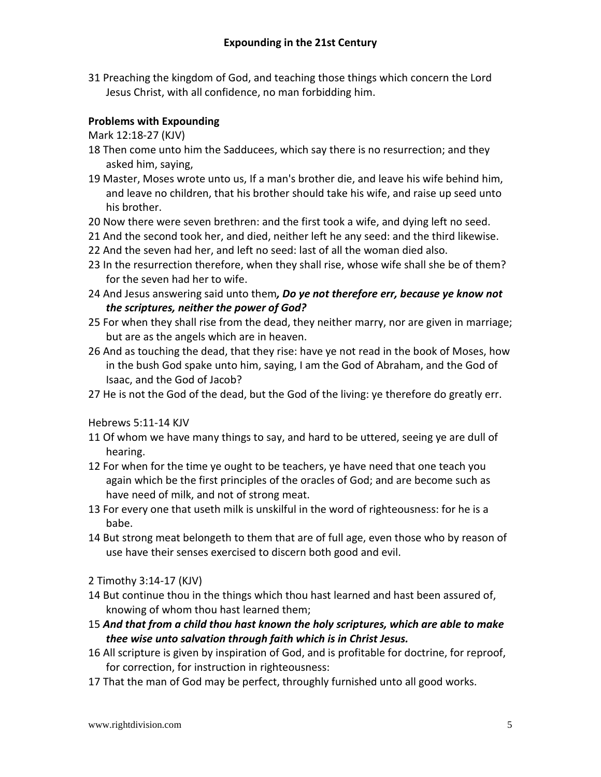31 Preaching the kingdom of God, and teaching those things which concern the Lord Jesus Christ, with all confidence, no man forbidding him.

# **Problems with Expounding**

Mark 12:18-27 (KJV)

- 18 Then come unto him the Sadducees, which say there is no resurrection; and they asked him, saying,
- 19 Master, Moses wrote unto us, If a man's brother die, and leave his wife behind him, and leave no children, that his brother should take his wife, and raise up seed unto his brother.
- 20 Now there were seven brethren: and the first took a wife, and dying left no seed.
- 21 And the second took her, and died, neither left he any seed: and the third likewise.
- 22 And the seven had her, and left no seed: last of all the woman died also.
- 23 In the resurrection therefore, when they shall rise, whose wife shall she be of them? for the seven had her to wife.
- 24 And Jesus answering said unto them*, Do ye not therefore err, because ye know not the scriptures, neither the power of God?*
- 25 For when they shall rise from the dead, they neither marry, nor are given in marriage; but are as the angels which are in heaven.
- 26 And as touching the dead, that they rise: have ye not read in the book of Moses, how in the bush God spake unto him, saying, I am the God of Abraham, and the God of Isaac, and the God of Jacob?
- 27 He is not the God of the dead, but the God of the living: ye therefore do greatly err.

Hebrews 5:11-14 KJV

- 11 Of whom we have many things to say, and hard to be uttered, seeing ye are dull of hearing.
- 12 For when for the time ye ought to be teachers, ye have need that one teach you again which be the first principles of the oracles of God; and are become such as have need of milk, and not of strong meat.
- 13 For every one that useth milk is unskilful in the word of righteousness: for he is a babe.
- 14 But strong meat belongeth to them that are of full age, even those who by reason of use have their senses exercised to discern both good and evil.
- 2 Timothy 3:14-17 (KJV)
- 14 But continue thou in the things which thou hast learned and hast been assured of, knowing of whom thou hast learned them;
- 15 *And that from a child thou hast known the holy scriptures, which are able to make thee wise unto salvation through faith which is in Christ Jesus.*
- 16 All scripture is given by inspiration of God, and is profitable for doctrine, for reproof, for correction, for instruction in righteousness:
- 17 That the man of God may be perfect, throughly furnished unto all good works.